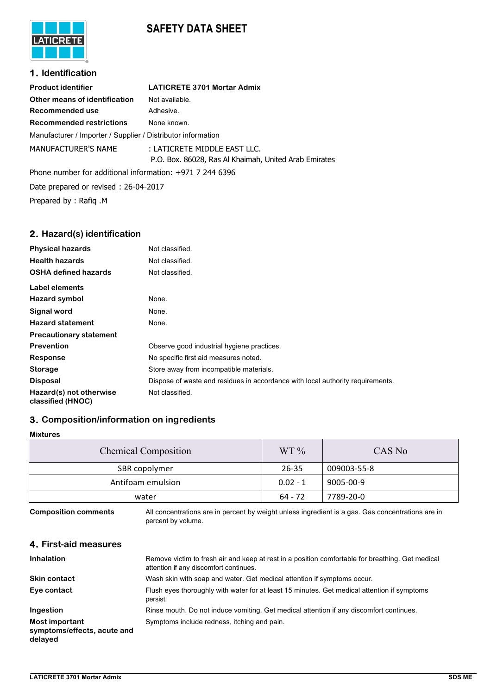# **SAFETY DATA SHEET**



## **1. Identification**

| <b>Product identifier</b>                                    | <b>LATICRETE 3701 Mortar Admix</b>                                                    |
|--------------------------------------------------------------|---------------------------------------------------------------------------------------|
| Other means of identification                                | Not available.                                                                        |
| Recommended use                                              | Adhesive.                                                                             |
| <b>Recommended restrictions</b>                              | None known.                                                                           |
| Manufacturer / Importer / Supplier / Distributor information |                                                                                       |
| <b>MANUFACTURER'S NAME</b>                                   | : LATICRETE MIDDLE EAST LLC.<br>P.O. Box. 86028, Ras Al Khaimah, United Arab Emirates |
| Dhana number for additional information $1071.7.244.6206$    |                                                                                       |

Phone number for additional information: +971 7 244 6396 Date prepared or revised : 26-04-2017 Prepared by : Rafiq .M

## **2. Hazard(s) identification**

| <b>Physical hazards</b>                      | Not classified.                                                                |
|----------------------------------------------|--------------------------------------------------------------------------------|
| <b>Health hazards</b>                        | Not classified.                                                                |
| <b>OSHA defined hazards</b>                  | Not classified.                                                                |
| <b>Label elements</b>                        |                                                                                |
| Hazard symbol                                | None.                                                                          |
| Signal word                                  | None.                                                                          |
| <b>Hazard statement</b>                      | None.                                                                          |
| <b>Precautionary statement</b>               |                                                                                |
| <b>Prevention</b>                            | Observe good industrial hygiene practices.                                     |
| Response                                     | No specific first aid measures noted.                                          |
| <b>Storage</b>                               | Store away from incompatible materials.                                        |
| <b>Disposal</b>                              | Dispose of waste and residues in accordance with local authority requirements. |
| Hazard(s) not otherwise<br>classified (HNOC) | Not classified.                                                                |

## **3. Composition/information on ingredients**

|--|

| <b>Chemical Composition</b> | $WT\%$     | CAS No      |
|-----------------------------|------------|-------------|
| SBR copolymer               | $26 - 35$  | 009003-55-8 |
| Antifoam emulsion           | $0.02 - 1$ | 9005-00-9   |
| water                       | $64 - 72$  | 7789-20-0   |

**Composition comments** All concentrations are in percent by weight unless ingredient is a gas. Gas concentrations are in percent by volume.

## **4. First-aid measures**

| <b>Inhalation</b>                                        | Remove victim to fresh air and keep at rest in a position comfortable for breathing. Get medical<br>attention if any discomfort continues. |
|----------------------------------------------------------|--------------------------------------------------------------------------------------------------------------------------------------------|
| <b>Skin contact</b>                                      | Wash skin with soap and water. Get medical attention if symptoms occur.                                                                    |
| Eye contact                                              | Flush eyes thoroughly with water for at least 15 minutes. Get medical attention if symptoms<br>persist.                                    |
| Ingestion                                                | Rinse mouth. Do not induce vomiting. Get medical attention if any discomfort continues.                                                    |
| Most important<br>symptoms/effects, acute and<br>delayed | Symptoms include redness, itching and pain.                                                                                                |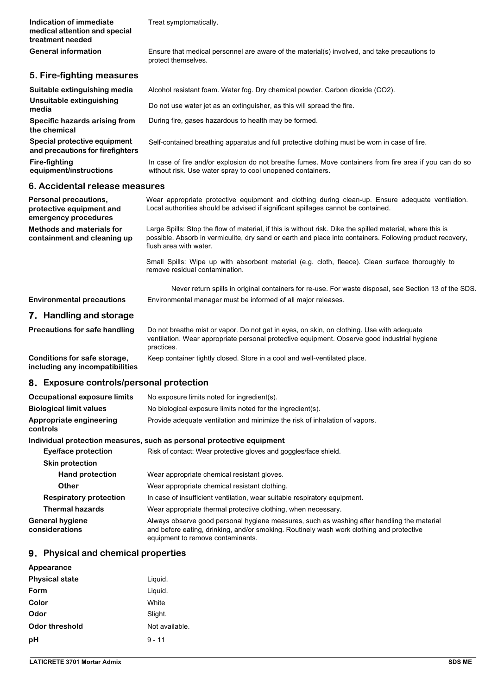| Indication of immediate<br>medical attention and special<br>treatment needed | Treat symptomatically.                                                                                                                                                                                                                            |
|------------------------------------------------------------------------------|---------------------------------------------------------------------------------------------------------------------------------------------------------------------------------------------------------------------------------------------------|
| <b>General information</b>                                                   | Ensure that medical personnel are aware of the material(s) involved, and take precautions to<br>protect themselves.                                                                                                                               |
| 5. Fire-fighting measures                                                    |                                                                                                                                                                                                                                                   |
| Suitable extinguishing media                                                 | Alcohol resistant foam. Water fog. Dry chemical powder. Carbon dioxide (CO2).                                                                                                                                                                     |
| Unsuitable extinguishing<br>media                                            | Do not use water jet as an extinguisher, as this will spread the fire.                                                                                                                                                                            |
| Specific hazards arising from<br>the chemical                                | During fire, gases hazardous to health may be formed.                                                                                                                                                                                             |
| Special protective equipment<br>and precautions for firefighters             | Self-contained breathing apparatus and full protective clothing must be worn in case of fire.                                                                                                                                                     |
| <b>Fire-fighting</b><br>equipment/instructions                               | In case of fire and/or explosion do not breathe fumes. Move containers from fire area if you can do so<br>without risk. Use water spray to cool unopened containers.                                                                              |
| 6. Accidental release measures                                               |                                                                                                                                                                                                                                                   |
| Personal precautions,<br>protective equipment and<br>emergency procedures    | Wear appropriate protective equipment and clothing during clean-up. Ensure adequate ventilation.<br>Local authorities should be advised if significant spillages cannot be contained.                                                             |
| <b>Methods and materials for</b><br>containment and cleaning up              | Large Spills: Stop the flow of material, if this is without risk. Dike the spilled material, where this is<br>possible. Absorb in vermiculite, dry sand or earth and place into containers. Following product recovery,<br>flush area with water. |
|                                                                              | Small Spills: Wipe up with absorbent material (e.g. cloth, fleece). Clean surface thoroughly to<br>remove residual contamination.                                                                                                                 |
|                                                                              | Never return spills in original containers for re-use. For waste disposal, see Section 13 of the SDS.                                                                                                                                             |
| <b>Environmental precautions</b>                                             | Environmental manager must be informed of all major releases.                                                                                                                                                                                     |
| 7. Handling and storage                                                      |                                                                                                                                                                                                                                                   |
| <b>Precautions for safe handling</b>                                         | Do not breathe mist or vapor. Do not get in eyes, on skin, on clothing. Use with adequate<br>ventilation. Wear appropriate personal protective equipment. Observe good industrial hygiene<br>practices.                                           |
| Conditions for safe storage,<br>including any incompatibilities              | Keep container tightly closed. Store in a cool and well-ventilated place.                                                                                                                                                                         |
| 8. Exposure controls/personal protection                                     |                                                                                                                                                                                                                                                   |
| Occupational exposure limits                                                 | No exposure limits noted for ingredient(s).                                                                                                                                                                                                       |
| <b>Biological limit values</b>                                               | No biological exposure limits noted for the ingredient(s).                                                                                                                                                                                        |
| Appropriate engineering<br>controls                                          | Provide adequate ventilation and minimize the risk of inhalation of vapors.                                                                                                                                                                       |
|                                                                              | Individual protection measures, such as personal protective equipment                                                                                                                                                                             |
| Eye/face protection                                                          | Risk of contact: Wear protective gloves and goggles/face shield.                                                                                                                                                                                  |
| <b>Skin protection</b>                                                       |                                                                                                                                                                                                                                                   |
| <b>Hand protection</b>                                                       | Wear appropriate chemical resistant gloves.                                                                                                                                                                                                       |
| <b>Other</b>                                                                 | Wear appropriate chemical resistant clothing.                                                                                                                                                                                                     |
| <b>Respiratory protection</b>                                                | In case of insufficient ventilation, wear suitable respiratory equipment.                                                                                                                                                                         |
| <b>Thermal hazards</b>                                                       | Wear appropriate thermal protective clothing, when necessary.                                                                                                                                                                                     |
| <b>General hygiene</b><br>considerations                                     | Always observe good personal hygiene measures, such as washing after handling the material<br>and before eating, drinking, and/or smoking. Routinely wash work clothing and protective<br>equipment to remove contaminants.                       |

## **9. Physical and chemical properties**

| Appearance            |                |
|-----------------------|----------------|
| <b>Physical state</b> | Liquid.        |
| Form                  | Liquid.        |
| Color                 | White          |
| Odor                  | Slight.        |
| Odor threshold        | Not available. |
| pH                    | $9 - 11$       |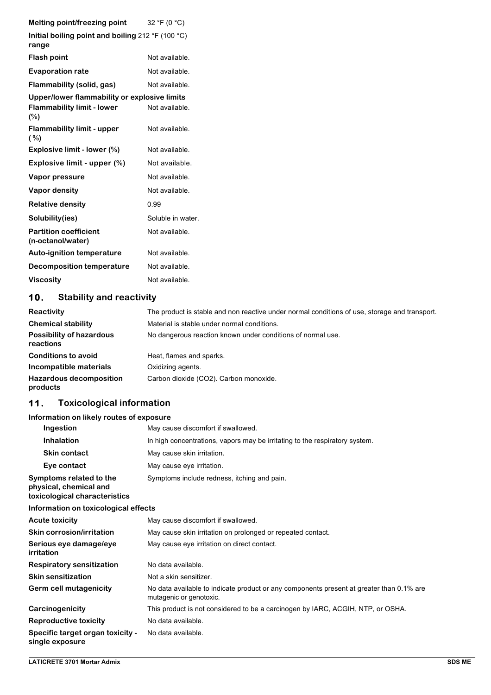| Melting point/freezing point                               | 32 °F (0 °C)      |
|------------------------------------------------------------|-------------------|
| Initial boiling point and boiling 212 °F (100 °C)<br>range |                   |
| <b>Flash point</b>                                         | Not available.    |
| <b>Evaporation rate</b>                                    | Not available.    |
| Flammability (solid, gas)                                  | Not available.    |
| Upper/lower flammability or explosive limits               |                   |
| <b>Flammability limit - lower</b><br>(%)                   | Not available.    |
| <b>Flammability limit - upper</b><br>( %)                  | Not available.    |
| Explosive limit - lower (%)                                | Not available.    |
| Explosive limit - upper $(\%)$                             | Not available.    |
| Vapor pressure                                             | Not available.    |
| Vapor density                                              | Not available.    |
| <b>Relative density</b>                                    | 0.99              |
| Solubility(ies)                                            | Soluble in water. |
| <b>Partition coefficient</b><br>(n-octanol/water)          | Not available.    |
| <b>Auto-ignition temperature</b>                           | Not available.    |
| <b>Decomposition temperature</b>                           | Not available.    |
| <b>Viscosity</b>                                           | Not available.    |

## **10. Stability and reactivity**

| Reactivity                                   | The product is stable and non reactive under normal conditions of use, storage and transport. |
|----------------------------------------------|-----------------------------------------------------------------------------------------------|
| <b>Chemical stability</b>                    | Material is stable under normal conditions.                                                   |
| <b>Possibility of hazardous</b><br>reactions | No dangerous reaction known under conditions of normal use.                                   |
| <b>Conditions to avoid</b>                   | Heat, flames and sparks.                                                                      |
| Incompatible materials                       | Oxidizing agents.                                                                             |
| <b>Hazardous decomposition</b><br>products   | Carbon dioxide (CO2). Carbon monoxide.                                                        |

# **11. Toxicological information**

## **Information on likely routes of exposure**

| Ingestion                                                                          | May cause discomfort if swallowed.                                                                                  |
|------------------------------------------------------------------------------------|---------------------------------------------------------------------------------------------------------------------|
| <b>Inhalation</b>                                                                  | In high concentrations, vapors may be irritating to the respiratory system.                                         |
| <b>Skin contact</b>                                                                | May cause skin irritation.                                                                                          |
| Eye contact                                                                        | May cause eye irritation.                                                                                           |
| Symptoms related to the<br>physical, chemical and<br>toxicological characteristics | Symptoms include redness, itching and pain.                                                                         |
| Information on toxicological effects                                               |                                                                                                                     |
| <b>Acute toxicity</b>                                                              | May cause discomfort if swallowed.                                                                                  |
| <b>Skin corrosion/irritation</b>                                                   | May cause skin irritation on prolonged or repeated contact.                                                         |
| Serious eye damage/eye<br>irritation                                               | May cause eye irritation on direct contact.                                                                         |
| <b>Respiratory sensitization</b>                                                   | No data available.                                                                                                  |
| <b>Skin sensitization</b>                                                          | Not a skin sensitizer.                                                                                              |
| Germ cell mutagenicity                                                             | No data available to indicate product or any components present at greater than 0.1% are<br>mutagenic or genotoxic. |
| Carcinogenicity                                                                    | This product is not considered to be a carcinogen by IARC, ACGIH, NTP, or OSHA.                                     |
| <b>Reproductive toxicity</b>                                                       | No data available.                                                                                                  |
| Specific target organ toxicity -<br>single exposure                                | No data available.                                                                                                  |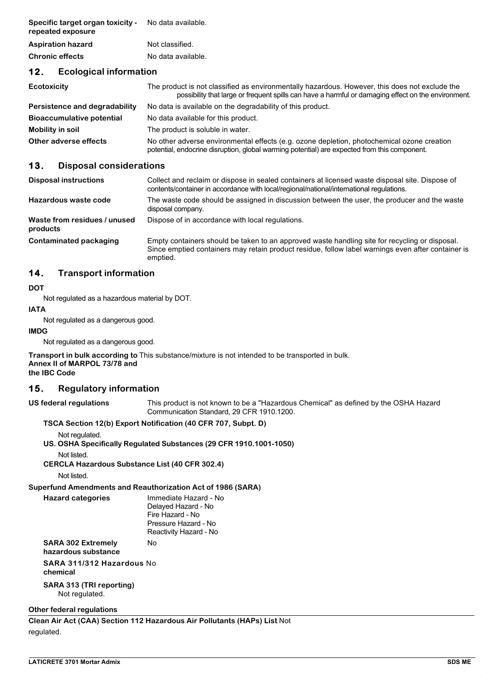| Specific target organ toxicity -<br>repeated exposure | No data available. |
|-------------------------------------------------------|--------------------|
| <b>Aspiration hazard</b>                              | Not classified.    |
| <b>Chronic effects</b>                                | No data available. |

## **12. Ecological information**

| Ecotoxicity                      | The product is not classified as environmentally hazardous. However, this does not exclude the<br>possibility that large or frequent spills can have a harmful or damaging effect on the environment. |
|----------------------------------|-------------------------------------------------------------------------------------------------------------------------------------------------------------------------------------------------------|
| Persistence and degradability    | No data is available on the degradability of this product.                                                                                                                                            |
| <b>Bioaccumulative potential</b> | No data available for this product.                                                                                                                                                                   |
| Mobility in soil                 | The product is soluble in water.                                                                                                                                                                      |
| Other adverse effects            | No other adverse environmental effects (e.g. ozone depletion, photochemical ozone creation<br>potential, endocrine disruption, global warming potential) are expected from this component.            |

### **13. Disposal considerations**

| <b>Disposal instructions</b>             | Collect and reclaim or dispose in sealed containers at licensed waste disposal site. Dispose of<br>contents/container in accordance with local/regional/national/international regulations.                      |
|------------------------------------------|------------------------------------------------------------------------------------------------------------------------------------------------------------------------------------------------------------------|
| Hazardous waste code                     | The waste code should be assigned in discussion between the user, the producer and the waste<br>disposal company.                                                                                                |
| Waste from residues / unused<br>products | Dispose of in accordance with local regulations.                                                                                                                                                                 |
| Contaminated packaging                   | Empty containers should be taken to an approved waste handling site for recycling or disposal.<br>Since emptied containers may retain product residue, follow label warnings even after container is<br>emptied. |

## **14. Transport information**

#### **DOT**

Not regulated as a hazardous material by DOT.

#### **IATA**

Not regulated as a dangerous good.

#### **IMDG**

Not regulated as a dangerous good.

**Transport in bulk according to** This substance/mixture is not intended to be transported in bulk. **Annex II of MARPOL 73/78 and the IBC Code**

### **15. Regulatory information**

**US federal regulations** This product is not known to be a "Hazardous Chemical" as defined by the OSHA Hazard Communication Standard, 29 CFR 1910.1200.

#### **TSCA Section 12(b) Export Notification (40 CFR 707, Subpt. D)**

Not regulated.

**US. OSHA Specifically Regulated Substances (29 CFR 1910.1001-1050)**

Not listed.

**CERCLA Hazardous Substance List (40 CFR 302.4)**

Not listed.

**Superfund Amendments and Reauthorization Act of 1986 (SARA)**

**Hazard categories** Immediate Hazard - No Delayed Hazard - No Fire Hazard - No Pressure Hazard - No Reactivity Hazard - No

**SARA 302 Extremely** No

**hazardous substance**

**SARA 311/312 Hazardous** No **chemical**

**SARA 313 (TRI reporting)**  Not regulated.

## **Other federal regulations**

**Clean Air Act (CAA) Section 112 Hazardous Air Pollutants (HAPs) List** Not regulated.